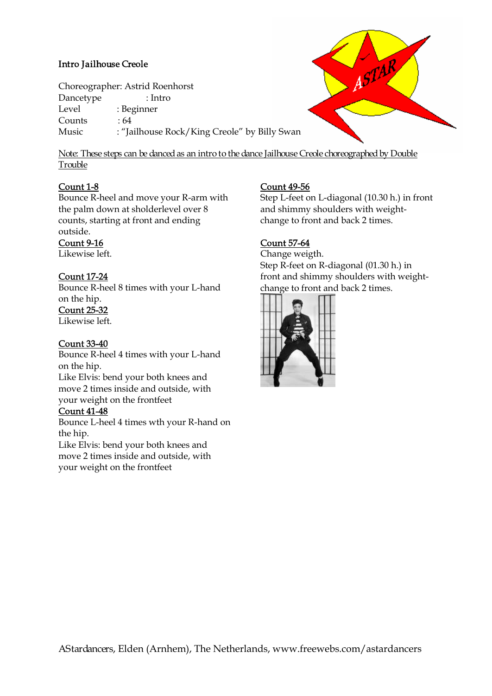# *Intro Jailhouse Creole*

Choreographer: Astrid Roenhorst Dancetype : Intro Level : Beginner Counts : 64 Music : "Jailhouse Rock/King Creole" by Billy Swan

*Note: These steps can be danced as an intro to the dance Jailhouse Creole choreographed by Double Trouble*

#### **Count 1-8**

Bounce R-heel and move your R-arm with the palm down at sholderlevel over 8 counts, starting at front and ending outside.

#### **Count 9-16**

Likewise left.

#### **Count 17-24**

Bounce R-heel 8 times with your L-hand on the hip.

# **Count 25-32**

Likewise left.

#### **Count 33-40**

Bounce R-heel 4 times with your L-hand on the hip.

Like Elvis: bend your both knees and move 2 times inside and outside, with your weight on the frontfeet

#### **Count 41-48**

Bounce L-heel 4 times wth your R-hand on the hip.

Like Elvis: bend your both knees and move 2 times inside and outside, with your weight on the frontfeet

#### **Count 49-56**

Step L-feet on L-diagonal (10.30 h.) in front and shimmy shoulders with weightchange to front and back 2 times.

ASTAR

### **Count 57-64**

Change weigth. Step R-feet on R-diagonal (01.30 h.) in front and shimmy shoulders with weightchange to front and back 2 times.